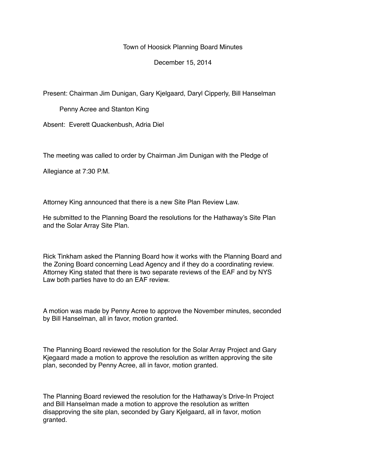Town of Hoosick Planning Board Minutes

December 15, 2014

Present: Chairman Jim Dunigan, Gary Kjelgaard, Daryl Cipperly, Bill Hanselman

Penny Acree and Stanton King

Absent: Everett Quackenbush, Adria Diel

The meeting was called to order by Chairman Jim Dunigan with the Pledge of

Allegiance at 7:30 P.M.

Attorney King announced that there is a new Site Plan Review Law.

He submitted to the Planning Board the resolutions for the Hathaway's Site Plan and the Solar Array Site Plan.

Rick Tinkham asked the Planning Board how it works with the Planning Board and the Zoning Board concerning Lead Agency and if they do a coordinating review. Attorney King stated that there is two separate reviews of the EAF and by NYS Law both parties have to do an EAF review.

A motion was made by Penny Acree to approve the November minutes, seconded by Bill Hanselman, all in favor, motion granted.

The Planning Board reviewed the resolution for the Solar Array Project and Gary Kjegaard made a motion to approve the resolution as written approving the site plan, seconded by Penny Acree, all in favor, motion granted.

The Planning Board reviewed the resolution for the Hathaway's Drive-In Project and Bill Hanselman made a motion to approve the resolution as written disapproving the site plan, seconded by Gary Kjelgaard, all in favor, motion granted.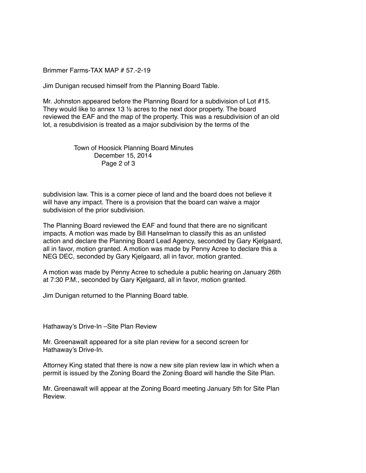Brimmer Farms-TAX MAP # 57.-2-19

Jim Dunigan recused himself from the Planning Board Table.

Mr. Johnston appeared before the Planning Board for a subdivision of Lot #15. They would like to annex 13 ½ acres to the next door property. The board reviewed the EAF and the map of the property. This was a resubdivision of an old lot, a resubdivision is treated as a major subdivision by the terms of the

> Town of Hoosick Planning Board Minutes December 15, 2014 Page 2 of 3

subdivision law. This is a corner piece of land and the board does not believe it will have any impact. There is a provision that the board can waive a major subdivision of the prior subdivision.

The Planning Board reviewed the EAF and found that there are no significant impacts. A motion was made by Bill Hanselman to classify this as an unlisted action and declare the Planning Board Lead Agency, seconded by Gary Kjelgaard, all in favor, motion granted. A motion was made by Penny Acree to declare this a NEG DEC, seconded by Gary Kjelgaard, all in favor, motion granted.

A motion was made by Penny Acree to schedule a public hearing on January 26th at 7:30 P.M., seconded by Gary Kjelgaard, all in favor, motion granted.

Jim Dunigan returned to the Planning Board table.

Hathaway's Drive-In –Site Plan Review

Mr. Greenawalt appeared for a site plan review for a second screen for Hathaway's Drive-In.

Attorney King stated that there is now a new site plan review law in which when a permit is issued by the Zoning Board the Zoning Board will handle the Site Plan.

Mr. Greenawalt will appear at the Zoning Board meeting January 5th for Site Plan Review.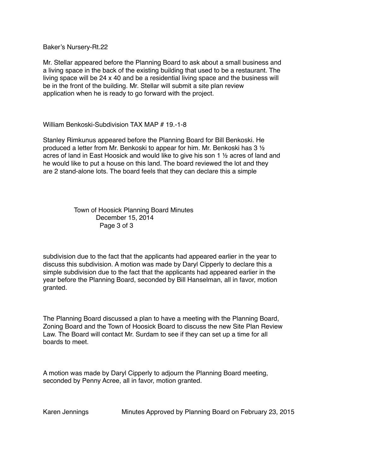Baker's Nursery-Rt.22

Mr. Stellar appeared before the Planning Board to ask about a small business and a living space in the back of the existing building that used to be a restaurant. The living space will be 24 x 40 and be a residential living space and the business will be in the front of the building. Mr. Stellar will submit a site plan review application when he is ready to go forward with the project.

William Benkoski-Subdivision TAX MAP # 19.-1-8

Stanley Rimkunus appeared before the Planning Board for Bill Benkoski. He produced a letter from Mr. Benkoski to appear for him. Mr. Benkoski has 3 ½ acres of land in East Hoosick and would like to give his son 1 ½ acres of land and he would like to put a house on this land. The board reviewed the lot and they are 2 stand-alone lots. The board feels that they can declare this a simple

## Town of Hoosick Planning Board Minutes December 15, 2014 Page 3 of 3

subdivision due to the fact that the applicants had appeared earlier in the year to discuss this subdivision. A motion was made by Daryl Cipperly to declare this a simple subdivision due to the fact that the applicants had appeared earlier in the year before the Planning Board, seconded by Bill Hanselman, all in favor, motion granted.

The Planning Board discussed a plan to have a meeting with the Planning Board, Zoning Board and the Town of Hoosick Board to discuss the new Site Plan Review Law. The Board will contact Mr. Surdam to see if they can set up a time for all boards to meet.

A motion was made by Daryl Cipperly to adjourn the Planning Board meeting, seconded by Penny Acree, all in favor, motion granted.

Karen Jennings Minutes Approved by Planning Board on February 23, 2015